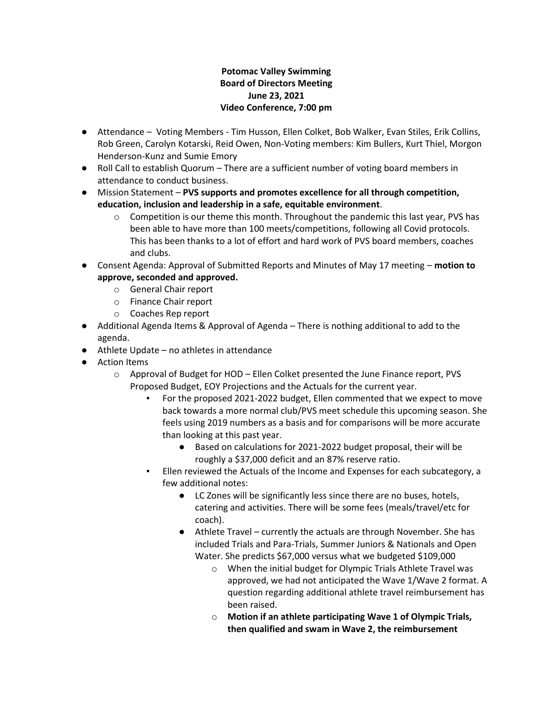#### **Potomac Valley Swimming Board of Directors Meeting June 23, 2021 Video Conference, 7:00 pm**

- Attendance Voting Members Tim Husson, Ellen Colket, Bob Walker, Evan Stiles, Erik Collins, Rob Green, Carolyn Kotarski, Reid Owen, Non-Voting members: Kim Bullers, Kurt Thiel, Morgon Henderson-Kunz and Sumie Emory
- Roll Call to establish Quorum There are a sufficient number of voting board members in attendance to conduct business.
- Mission Statement **PVS supports and promotes excellence for all through competition, education, inclusion and leadership in a safe, equitable environment**.
	- $\circ$  Competition is our theme this month. Throughout the pandemic this last year, PVS has been able to have more than 100 meets/competitions, following all Covid protocols. This has been thanks to a lot of effort and hard work of PVS board members, coaches and clubs.
- Consent Agenda: Approval of Submitted Reports and Minutes of May 17 meeting **motion to approve, seconded and approved.**
	- o General Chair report
	- o Finance Chair report
	- o Coaches Rep report
- Additional Agenda Items & Approval of Agenda There is nothing additional to add to the agenda.
- Athlete Update no athletes in attendance
- Action Items
	- $\circ$  Approval of Budget for HOD Ellen Colket presented the June Finance report, PVS Proposed Budget, EOY Projections and the Actuals for the current year.
		- For the proposed 2021-2022 budget, Ellen commented that we expect to move back towards a more normal club/PVS meet schedule this upcoming season. She feels using 2019 numbers as a basis and for comparisons will be more accurate than looking at this past year.
			- Based on calculations for 2021-2022 budget proposal, their will be roughly a \$37,000 deficit and an 87% reserve ratio.
		- Ellen reviewed the Actuals of the Income and Expenses for each subcategory, a few additional notes:
			- LC Zones will be significantly less since there are no buses, hotels, catering and activities. There will be some fees (meals/travel/etc for coach).
			- Athlete Travel currently the actuals are through November. She has included Trials and Para-Trials, Summer Juniors & Nationals and Open Water. She predicts \$67,000 versus what we budgeted \$109,000
				- o When the initial budget for Olympic Trials Athlete Travel was approved, we had not anticipated the Wave 1/Wave 2 format. A question regarding additional athlete travel reimbursement has been raised.
				- o **Motion if an athlete participating Wave 1 of Olympic Trials, then qualified and swam in Wave 2, the reimbursement**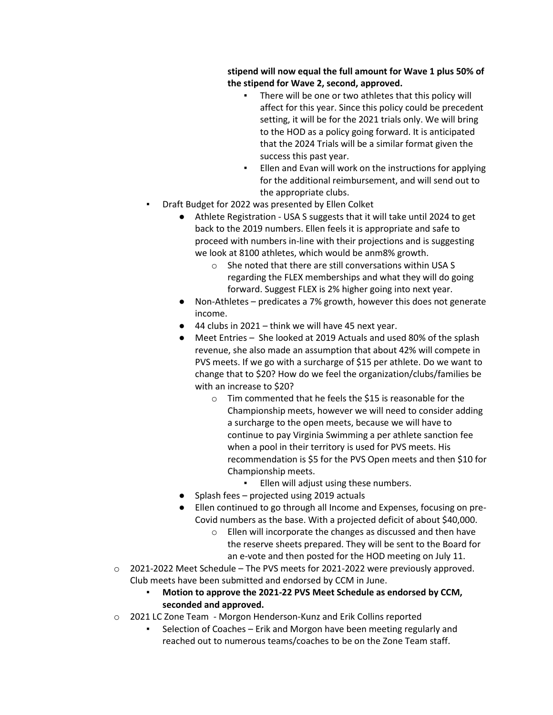**stipend will now equal the full amount for Wave 1 plus 50% of the stipend for Wave 2, second, approved.** 

- There will be one or two athletes that this policy will affect for this year. Since this policy could be precedent setting, it will be for the 2021 trials only. We will bring to the HOD as a policy going forward. It is anticipated that the 2024 Trials will be a similar format given the success this past year.
- Ellen and Evan will work on the instructions for applying for the additional reimbursement, and will send out to the appropriate clubs.
- Draft Budget for 2022 was presented by Ellen Colket
	- Athlete Registration USA S suggests that it will take until 2024 to get back to the 2019 numbers. Ellen feels it is appropriate and safe to proceed with numbers in-line with their projections and is suggesting we look at 8100 athletes, which would be anm8% growth.
		- o She noted that there are still conversations within USA S regarding the FLEX memberships and what they will do going forward. Suggest FLEX is 2% higher going into next year.
	- Non-Athletes predicates a 7% growth, however this does not generate income.
	- $\bullet$  44 clubs in 2021 think we will have 45 next year.
	- Meet Entries She looked at 2019 Actuals and used 80% of the splash revenue, she also made an assumption that about 42% will compete in PVS meets. If we go with a surcharge of \$15 per athlete. Do we want to change that to \$20? How do we feel the organization/clubs/families be with an increase to \$20?
		- o Tim commented that he feels the \$15 is reasonable for the Championship meets, however we will need to consider adding a surcharge to the open meets, because we will have to continue to pay Virginia Swimming a per athlete sanction fee when a pool in their territory is used for PVS meets. His recommendation is \$5 for the PVS Open meets and then \$10 for Championship meets.
			- Ellen will adjust using these numbers.
	- Splash fees projected using 2019 actuals
	- Ellen continued to go through all Income and Expenses, focusing on pre-Covid numbers as the base. With a projected deficit of about \$40,000.
		- o Ellen will incorporate the changes as discussed and then have the reserve sheets prepared. They will be sent to the Board for an e-vote and then posted for the HOD meeting on July 11.
- $\circ$  2021-2022 Meet Schedule The PVS meets for 2021-2022 were previously approved. Club meets have been submitted and endorsed by CCM in June.
	- **Motion to approve the 2021-22 PVS Meet Schedule as endorsed by CCM, seconded and approved.**
- o 2021 LC Zone Team Morgon Henderson-Kunz and Erik Collins reported
	- Selection of Coaches Erik and Morgon have been meeting regularly and reached out to numerous teams/coaches to be on the Zone Team staff.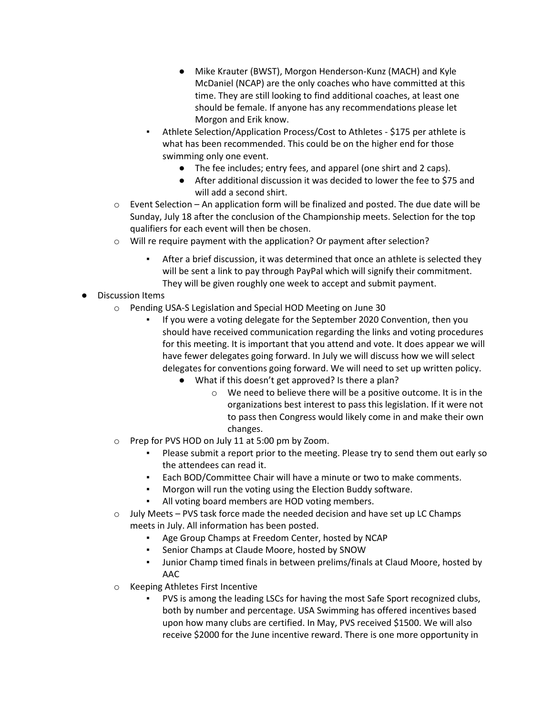- Mike Krauter (BWST), Morgon Henderson-Kunz (MACH) and Kyle McDaniel (NCAP) are the only coaches who have committed at this time. They are still looking to find additional coaches, at least one should be female. If anyone has any recommendations please let Morgon and Erik know.
- Athlete Selection/Application Process/Cost to Athletes \$175 per athlete is what has been recommended. This could be on the higher end for those swimming only one event.
	- The fee includes; entry fees, and apparel (one shirt and 2 caps).
	- After additional discussion it was decided to lower the fee to \$75 and will add a second shirt.
- $\circ$  Event Selection An application form will be finalized and posted. The due date will be Sunday, July 18 after the conclusion of the Championship meets. Selection for the top qualifiers for each event will then be chosen.
- o Will re require payment with the application? Or payment after selection?
	- After a brief discussion, it was determined that once an athlete is selected they will be sent a link to pay through PayPal which will signify their commitment. They will be given roughly one week to accept and submit payment.
- Discussion Items
	- o Pending USA-S Legislation and Special HOD Meeting on June 30
		- If you were a voting delegate for the September 2020 Convention, then you should have received communication regarding the links and voting procedures for this meeting. It is important that you attend and vote. It does appear we will have fewer delegates going forward. In July we will discuss how we will select delegates for conventions going forward. We will need to set up written policy.
			- What if this doesn't get approved? Is there a plan?
				- o We need to believe there will be a positive outcome. It is in the organizations best interest to pass this legislation. If it were not to pass then Congress would likely come in and make their own changes.
	- o Prep for PVS HOD on July 11 at 5:00 pm by Zoom.
		- Please submit a report prior to the meeting. Please try to send them out early so the attendees can read it.
		- Each BOD/Committee Chair will have a minute or two to make comments.
		- Morgon will run the voting using the Election Buddy software.
		- All voting board members are HOD voting members.
	- o July Meets PVS task force made the needed decision and have set up LC Champs meets in July. All information has been posted.
		- Age Group Champs at Freedom Center, hosted by NCAP
		- Senior Champs at Claude Moore, hosted by SNOW
		- Junior Champ timed finals in between prelims/finals at Claud Moore, hosted by AAC
	- o Keeping Athletes First Incentive
		- PVS is among the leading LSCs for having the most Safe Sport recognized clubs, both by number and percentage. USA Swimming has offered incentives based upon how many clubs are certified. In May, PVS received \$1500. We will also receive \$2000 for the June incentive reward. There is one more opportunity in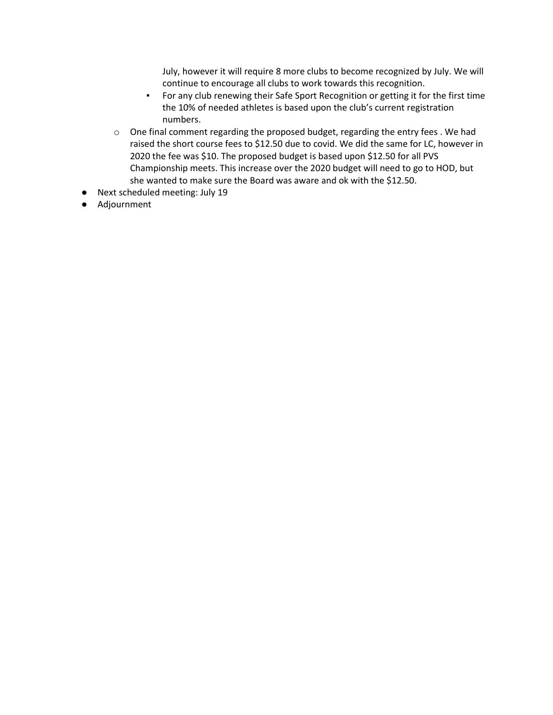July, however it will require 8 more clubs to become recognized by July. We will continue to encourage all clubs to work towards this recognition.

- For any club renewing their Safe Sport Recognition or getting it for the first time the 10% of needed athletes is based upon the club's current registration numbers.
- o One final comment regarding the proposed budget, regarding the entry fees . We had raised the short course fees to \$12.50 due to covid. We did the same for LC, however in 2020 the fee was \$10. The proposed budget is based upon \$12.50 for all PVS Championship meets. This increase over the 2020 budget will need to go to HOD, but she wanted to make sure the Board was aware and ok with the \$12.50.
- Next scheduled meeting: July 19
- Adjournment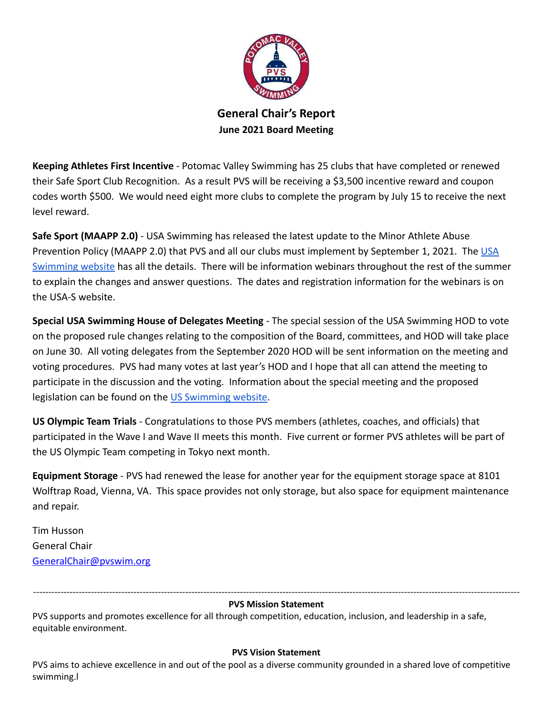

**General Chair's Report June 2021 Board Meeting**

**Keeping Athletes First Incentive** - Potomac Valley Swimming has 25 clubs that have completed or renewed their Safe Sport Club Recognition. As a result PVS will be receiving a \$3,500 incentive reward and coupon codes worth \$500. We would need eight more clubs to complete the program by July 15 to receive the next level reward.

**Safe Sport (MAAPP 2.0)** - USA Swimming has released the latest update to the Minor Athlete Abuse Prevention Policy (MAAPP 2.0) that PVS and all our clubs must implement by September 1, 2021. The [USA](https://www.usaswimming.org/safe-sport/minor-athlete-abuse-prevention-policy) [Swimming website](https://www.usaswimming.org/safe-sport/minor-athlete-abuse-prevention-policy) has all the details. There will be information webinars throughout the rest of the summer to explain the changes and answer questions. The dates and registration information for the webinars is on the USA-S website.

**Special USA Swimming House of Delegates Meeting** - The special session of the USA Swimming HOD to vote on the proposed rule changes relating to the composition of the Board, committees, and HOD will take place on June 30. All voting delegates from the September 2020 HOD will be sent information on the meeting and voting procedures. PVS had many votes at last year's HOD and I hope that all can attend the meeting to participate in the discussion and the voting. Information about the special meeting and the proposed legislation can be found on the [US Swimming website.](https://www.usaswimming.org/about-usas/governance/special-hod-meeting)

**US Olympic Team Trials** - Congratulations to those PVS members (athletes, coaches, and officials) that participated in the Wave I and Wave II meets this month. Five current or former PVS athletes will be part of the US Olympic Team competing in Tokyo next month.

**Equipment Storage** - PVS had renewed the lease for another year for the equipment storage space at 8101 Wolftrap Road, Vienna, VA. This space provides not only storage, but also space for equipment maintenance and repair.

Tim Husson General Chair [GeneralChair@pvswim.org](mailto:GeneralChair@pvswim.org)

#### ---------------------------------------------------------------------------------------------------------------------------------------------------------------- **PVS Mission Statement**

PVS supports and promotes excellence for all through competition, education, inclusion, and leadership in a safe, equitable environment.

#### **PVS Vision Statement**

PVS aims to achieve excellence in and out of the pool as a diverse community grounded in a shared love of competitive swimming.l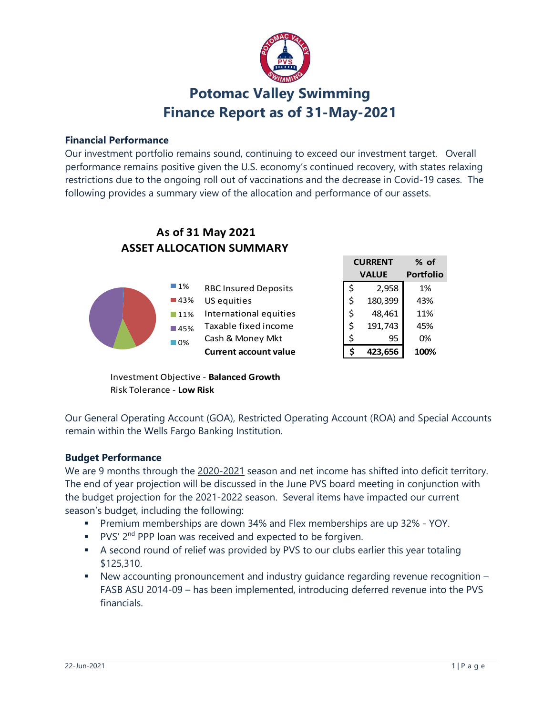

# **Potomac Valley Swimming Finance Report as of 31-May-2021**

### **Financial Performance**

Our investment portfolio remains sound, continuing to exceed our investment target. Overall performance remains positive given the U.S. economy's continued recovery, with states relaxing restrictions due to the ongoing roll out of vaccinations and the decrease in Covid-19 cases. The following provides a summary view of the allocation and performance of our assets.

# **ASSET ALLOCATION SUMMARY As of 31 May 2021**

| _______________________ |                              |  |         |                                |  |
|-------------------------|------------------------------|--|---------|--------------------------------|--|
|                         |                              |  |         | $%$ of                         |  |
|                         |                              |  |         | <b>Portfolio</b>               |  |
| $\Box$ 1%               | <b>RBC Insured Deposits</b>  |  | 2,958   | 1%                             |  |
| $\blacksquare$ 43%      | US equities                  |  | 180,399 | 43%                            |  |
| $\Box$ 11%              | International equities       |  | 48.461  | 11%                            |  |
| $\blacksquare$ 45%      | Taxable fixed income         |  | 191,743 | 45%                            |  |
| $\Box$ 0%               | Cash & Money Mkt             |  | 95      | 0%                             |  |
|                         | <b>Current account value</b> |  | 423,656 | 100%                           |  |
|                         |                              |  |         | <b>CURRENT</b><br><b>VALUE</b> |  |

Investment Objective - **Balanced Growth** Risk Tolerance - **Low Risk**

Our General Operating Account (GOA), Restricted Operating Account (ROA) and Special Accounts remain within the Wells Fargo Banking Institution.

#### **Budget Performance**

We are 9 months through the 2020-2021 season and net income has shifted into deficit territory. The end of year projection will be discussed in the June PVS board meeting in conjunction with the budget projection for the 2021-2022 season. Several items have impacted our current season's budget, including the following:

- Premium memberships are down 34% and Flex memberships are up 32% YOY.
- PVS' 2<sup>nd</sup> PPP loan was received and expected to be forgiven.
- A second round of relief was provided by PVS to our clubs earlier this year totaling \$125,310.
- New accounting pronouncement and industry guidance regarding revenue recognition FASB ASU 2014-09 – has been implemented, introducing deferred revenue into the PVS financials.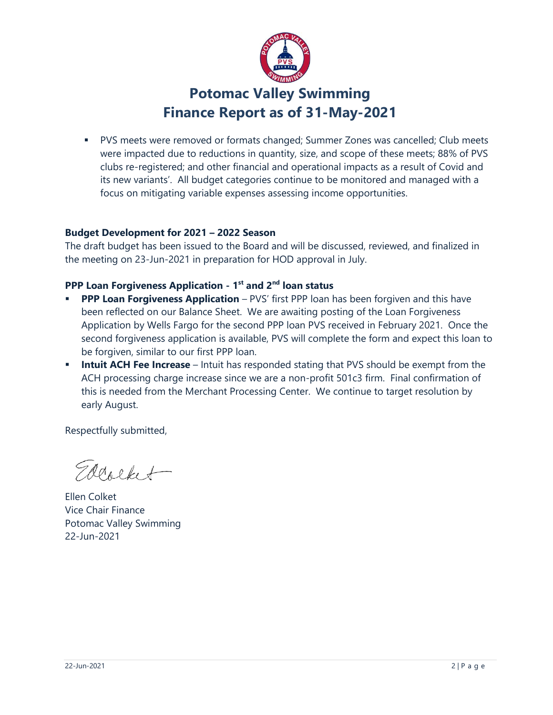

# **Potomac Valley Swimming Finance Report as of 31-May-2021**

 PVS meets were removed or formats changed; Summer Zones was cancelled; Club meets were impacted due to reductions in quantity, size, and scope of these meets; 88% of PVS clubs re-registered; and other financial and operational impacts as a result of Covid and its new variants'. All budget categories continue to be monitored and managed with a focus on mitigating variable expenses assessing income opportunities.

### **Budget Development for 2021 – 2022 Season**

The draft budget has been issued to the Board and will be discussed, reviewed, and finalized in the meeting on 23-Jun-2021 in preparation for HOD approval in July.

### **PPP Loan Forgiveness Application - 1 st and 2nd loan status**

- **PPP Loan Forgiveness Application** PVS' first PPP loan has been forgiven and this have been reflected on our Balance Sheet. We are awaiting posting of the Loan Forgiveness Application by Wells Fargo for the second PPP loan PVS received in February 2021. Once the second forgiveness application is available, PVS will complete the form and expect this loan to be forgiven, similar to our first PPP loan.
- **Intuit ACH Fee Increase** Intuit has responded stating that PVS should be exempt from the ACH processing charge increase since we are a non-profit 501c3 firm. Final confirmation of this is needed from the Merchant Processing Center. We continue to target resolution by early August.

Respectfully submitted,

Eddorket

Ellen Colket Vice Chair Finance Potomac Valley Swimming 22-Jun-2021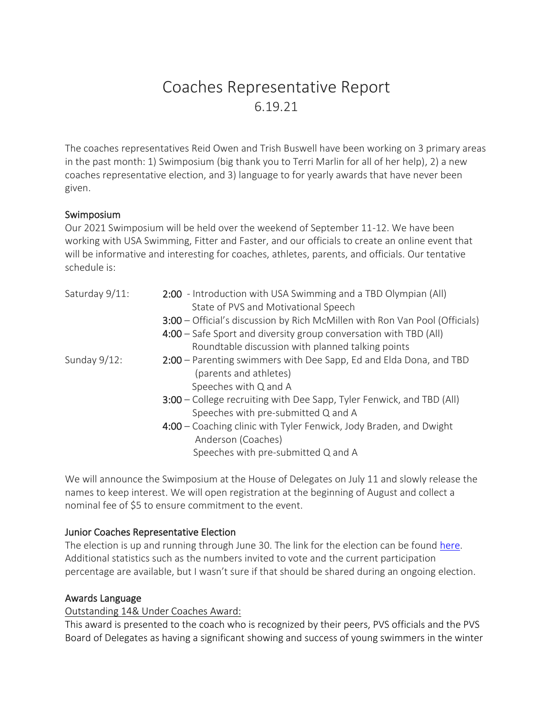# Coaches Representative Report 6.19.21

The coaches representatives Reid Owen and Trish Buswell have been working on 3 primary areas in the past month: 1) Swimposium (big thank you to Terri Marlin for all of her help), 2) a new coaches representative election, and 3) language to for yearly awards that have never been given.

# Swimposium

Our 2021 Swimposium will be held over the weekend of September 11-12. We have been working with USA Swimming, Fitter and Faster, and our officials to create an online event that will be informative and interesting for coaches, athletes, parents, and officials. Our tentative schedule is:

| Saturday 9/11:  | 2:00 - Introduction with USA Swimming and a TBD Olympian (All)<br>State of PVS and Motivational Speech       |
|-----------------|--------------------------------------------------------------------------------------------------------------|
|                 | 3:00 – Official's discussion by Rich McMillen with Ron Van Pool (Officials)                                  |
|                 | 4:00 - Safe Sport and diversity group conversation with TBD (All)                                            |
|                 | Roundtable discussion with planned talking points                                                            |
| Sunday $9/12$ : | 2:00 - Parenting swimmers with Dee Sapp, Ed and Elda Dona, and TBD<br>(parents and athletes)                 |
|                 | Speeches with Q and A                                                                                        |
|                 | 3:00 – College recruiting with Dee Sapp, Tyler Fenwick, and TBD (All)<br>Speeches with pre-submitted Q and A |
|                 | 4:00 – Coaching clinic with Tyler Fenwick, Jody Braden, and Dwight<br>Anderson (Coaches)                     |
|                 | Speeches with pre-submitted Q and A                                                                          |

We will announce the Swimposium at the House of Delegates on July 11 and slowly release the names to keep interest. We will open registration at the beginning of August and collect a nominal fee of \$5 to ensure commitment to the event.

# Junior Coaches Representative Election

The election is up and running through June 30. The link for the election can be found [here.](https://vote.electionrunner.com/election/ZFYH7) Additional statistics such as the numbers invited to vote and the current participation percentage are available, but I wasn't sure if that should be shared during an ongoing election.

# Awards Language

# Outstanding 14& Under Coaches Award:

This award is presented to the coach who is recognized by their peers, PVS officials and the PVS Board of Delegates as having a significant showing and success of young swimmers in the winter